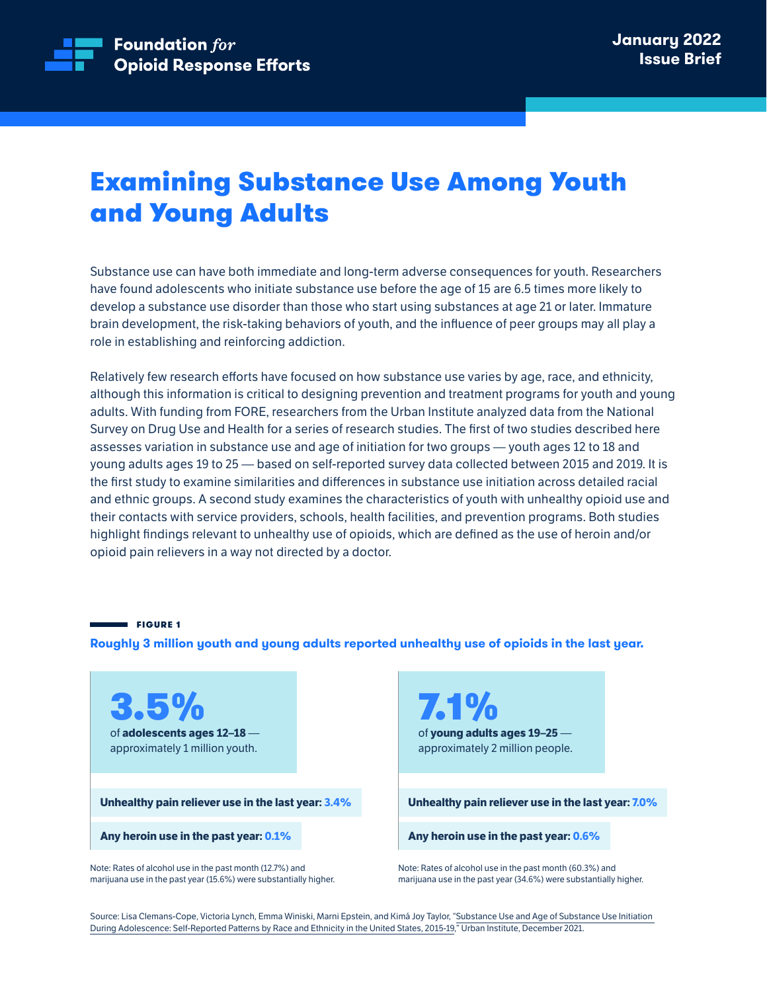

# **Examining Substance Use Among Youth** and Young Adults

Substance use can have both immediate and long-term adverse consequences for youth. Researchers have found adolescents who initiate substance use before the age of 15 are 6.5 times more likely to develop a substance use disorder than those who start using substances at age 21 or later. Immature brain development, the risk-taking behaviors of youth, and the influence of peer groups may all play a role in establishing and reinforcing addiction.

Relatively few research efforts have focused on how substance use varies by age, race, and ethnicity, although this information is critical to designing prevention and treatment programs for youth and young adults. With funding from FORE, researchers from the Urban Institute analyzed data from the National Survey on Drug Use and Health for a series of research studies. The first of two studies described here assesses variation in substance use and age of initiation for two groups — youth ages 12 to 18 and young adults ages 19 to 25 - based on self-reported survey data collected between 2015 and 2019. It is the first study to examine similarities and differences in substance use initiation across detailed racial and ethnic groups. A second study examines the characteristics of youth with unhealthy opioid use and their contacts with service providers, schools, health facilities, and prevention programs. Both studies highlight findings relevant to unhealthy use of opioids, which are defined as the use of heroin and/or opioid pain relievers in a way not directed by a doctor.

**Example FIGURE 1** 

Roughly 3 million youth and young adults reported unhealthy use of opioids in the last year.

3.5% of **adolescents** ages 12-18 approximately 1 million youth.

Unhealthy pain reliever use in the last year: 3.4%

Any heroin use in the past year: 0.1%

Note: Rates of alcohol use in the past month (12.7%) and marijuana use in the past year (15.6%) were substantially higher.

7.1% of young adults ages 19-25 approximately 2 million people.

**Unhealthy pain reliever use in the last year: 7.0%** 

**Any heroin use in the past year: 0.6%** 

Note: Rates of alcohol use in the past month (60.3%) and marijuana use in the past year (34.6%) were substantially higher.

Source: Lisa Clemans-Cope, Victoria Lynch, Emma Winiski, Marni Epstein, and Kimá Joy Taylor, ["](https://www.urban.org/research/publication/substance-use-and-age-substance-use-initiation-during-adolescence)Substance Use and Age of Substance Use Initiation During Adolescence: Self-Reported Patterns by Race and Ethnicity in the United States, 2015-19," Urban Institute, December 2021.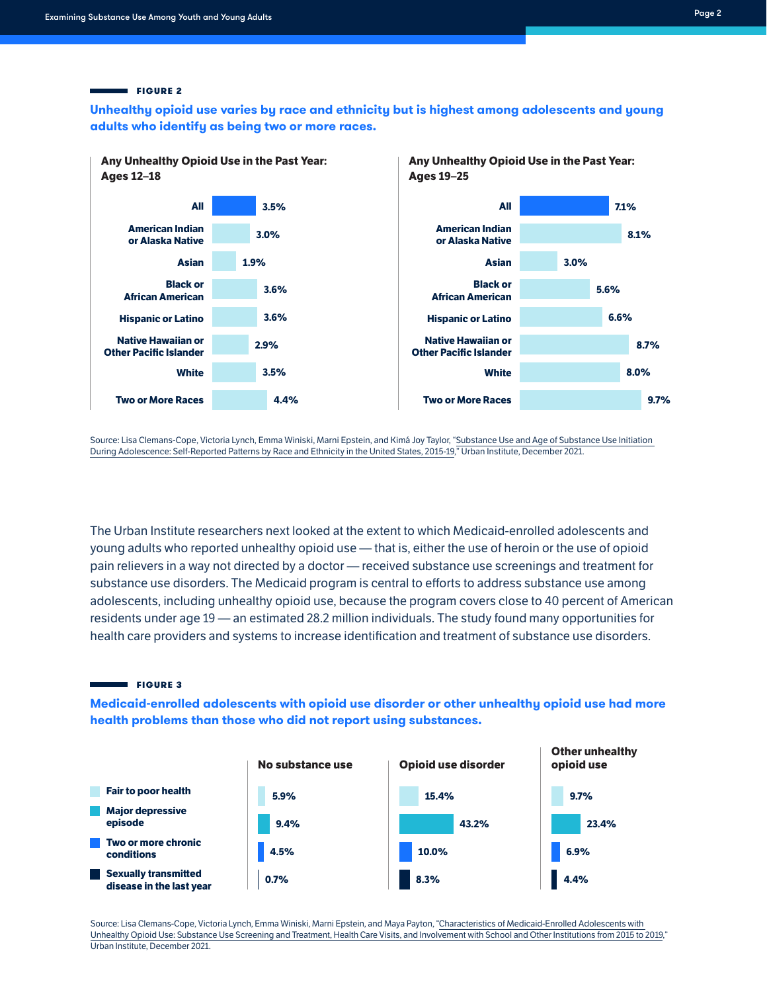### **2** FIGURE 2

Unhealthy opioid use varies by race and ethnicity but is highest among adolescents and young adults who identify as being two or more races.



Source: Lisa Clemans-Cope, Victoria Lynch, Emma Winiski, Marni Epstein, and Kimá Joy Taylor, ["](https://www.urban.org/research/publication/substance-use-and-age-substance-use-initiation-during-adolescence)Substance Use and Age of Substance Use Initiation During Adolescence: Self-Reported Patterns by Race and Ethnicity in the United States, 2015-19," Urban Institute, December 2021.

The Urban Institute researchers next looked at the extent to which Medicaid-enrolled adolescents and young adults who reported unhealthy opioid use — that is, either the use of heroin or the use of opioid pain relievers in a way not directed by a doctor — received substance use screenings and treatment for substance use disorders. The Medicaid program is central to efforts to address substance use among adolescents, including unhealthy opioid use, because the program covers close to 40 percent of American residents under age 19 - an estimated 28.2 million individuals. The study found many opportunities for health care providers and systems to increase identification and treatment of substance use disorders.

### **3** FIGURE 3

**Medicaid-enrolled adolescents with opioid use disorder or other unhealthy opioid use had more** health problems than those who did not report using substances.



Source: Lisa Clemans-Cope, Victoria Lynch, Emma Winiski, Marni Epstein, and Maya Payton, "Characteristics of Medicaid-Enrolled Adolescents with Unhealthy Opioid Use: Substance Use Screening and Treatment, Health Care Visits, and Involvement with School and Other Institutions from 2015 to [2019](https://www.urban.org/research/publication/characteristics-medicaid-enrolled-adolescents-unhealthy-opioid-or-other-substance-use)," Urban Institute, December 2021.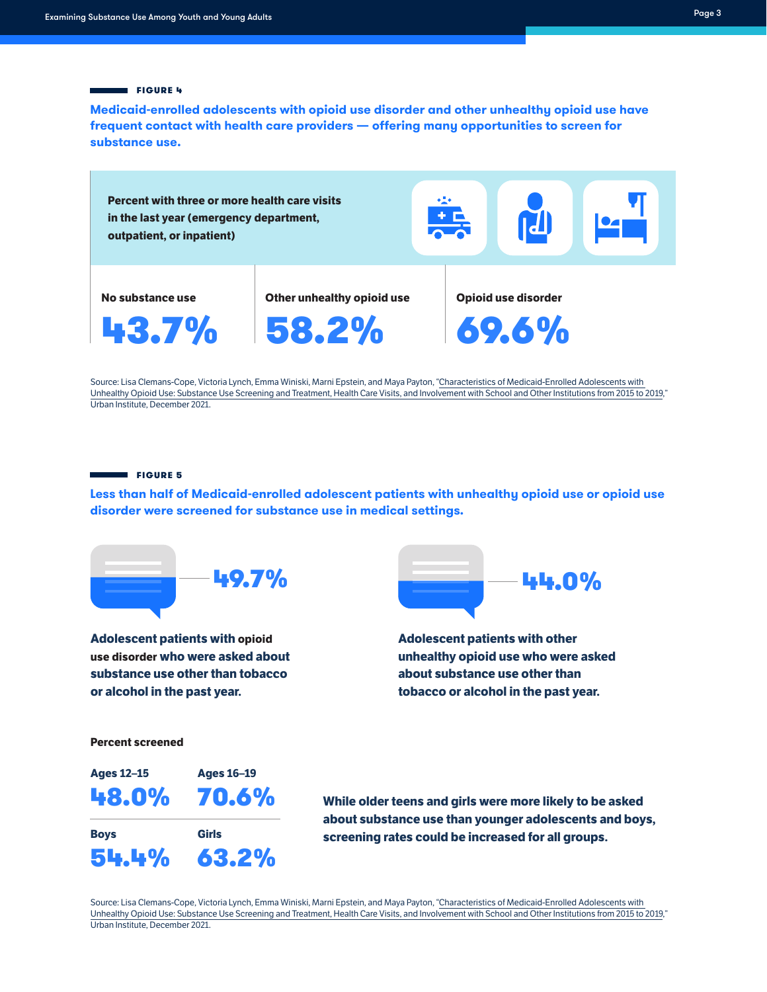### **FIGURE 4**

**Medicaid-enrolled adolescents with opioid use disorder and other unhealthy opioid use have** frequent contact with health care providers **— offering many opportunities to screen for** substance use.



Source: Lisa Clemans-Cope, Victoria Lynch, Emma Winiski, Marni Epstein, and Maya Payton, "Characteristics of Medicaid-Enrolled Adolescents with Unhealthy Opioid Use: Substance Use Screening and Treatment, Health Care Visits, and Involvement with School and Other Institutions from 2015 to [2019](https://www.urban.org/research/publication/characteristics-medicaid-enrolled-adolescents-unhealthy-opioid-or-other-substance-use)," Urban Institute. December 2021.

#### **FIGURE 5**

54.4%

63.2%

Less than half of Medicaid-enrolled adolescent patients with unhealthy opioid use or opioid use disorder were screened for substance use in medical settings.



Source: Lisa Clemans-Cope, Victoria Lynch, Emma Winiski, Marni Epstein, and Maya Payton, "Characteristics of Medicaid-Enrolled Adolescents with Unhealthy Opioid Use: Substance Use Screening and Treatment, Health Care Visits, and Involvement with School and Other Institutions from 2015 to [2019](https://www.urban.org/research/publication/characteristics-medicaid-enrolled-adolescents-unhealthy-opioid-or-other-substance-use)," Urban Institute, December 2021.

screening rates could be increased for all groups.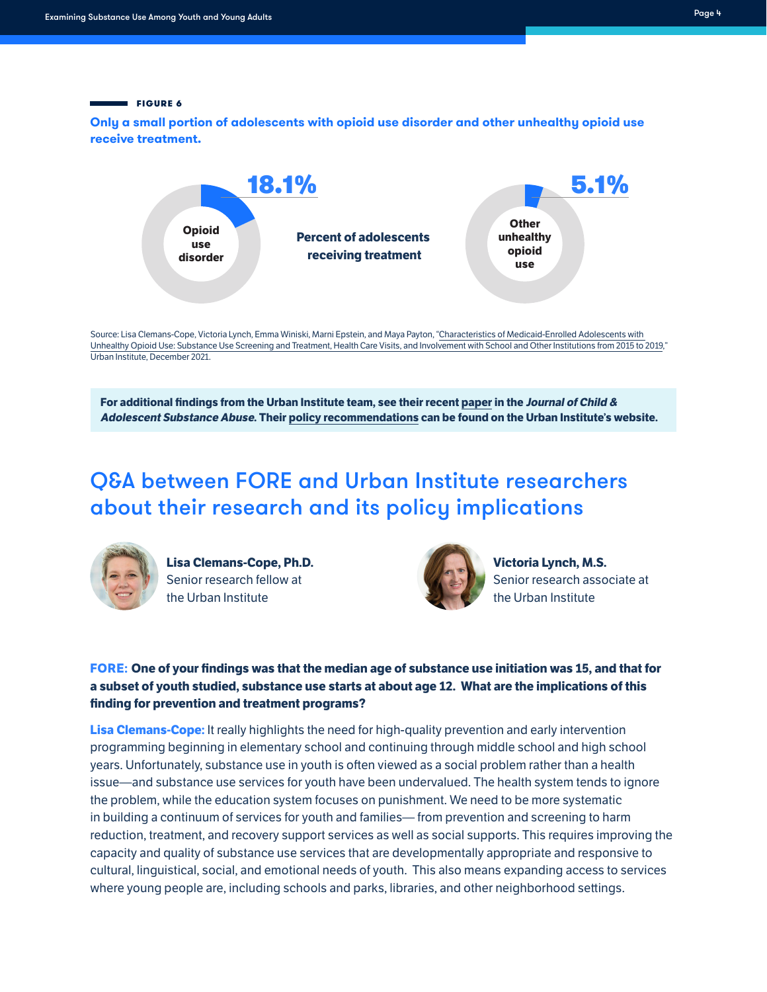### **FIGURE 6**

**Only a small portion of adolescents with opioid use disorder and other unhealthy opioid use** receive treatment.



Source: Lisa Clemans-Cope, Victoria Lynch, Emma Winiski, Marni Epstein, and Maya Payton, "Characteristics of Medicaid-Enrolled Adolescents with Unhealthy Opioid Use: Substance Use Screening and Treatment, Health Care Visits, and Involvement with School and Other Institutions from 2015 to [2019](https://www.urban.org/research/publication/characteristics-medicaid-enrolled-adolescents-unhealthy-opioid-or-other-substance-use)," Urban Institute, December 2021.

**For additional findings from the Urban Institute team, see their recent [paper](https://www.tandfonline.com/doi/full/10.1080/1067828X.2021.2015733) in the Journal of Child &** Adolescent Substance Abuse. Their policy recommendations can be found on the Urban Institute's website.

# O&A between FORE and Urban Institute researchers about their research and its policy implications



**Lisa Clemans-Cope, Ph.D.** Senior research fellow at the Urban Institute



**Victoria Lynch, M.S.** Senior research associate at the Urban Institute

**FORE: One of your findings was that the median age of substance use initiation was 15, and that for** a subset of youth studied, substance use starts at about age 12. What are the implications of this **finding for prevention and treatment programs?** 

**Lisa Clemans-Cope:** It really highlights the need for high-quality prevention and early intervention programming beginning in elementary school and continuing through middle school and high school years. Unfortunately, substance use in youth is often viewed as a social problem rather than a health issue—and substance use services for youth have been undervalued. The health system tends to ignore the problem, while the education system focuses on punishment. We need to be more systematic in building a continuum of services for youth and families— from prevention and screening to harm reduction, treatment, and recovery support services as well as social supports. This requires improving the capacity and quality of substance use services that are developmentally appropriate and responsive to cultural, linguistical, social, and emotional needs of youth. This also means expanding access to services where young people are, including schools and parks, libraries, and other neighborhood settings.